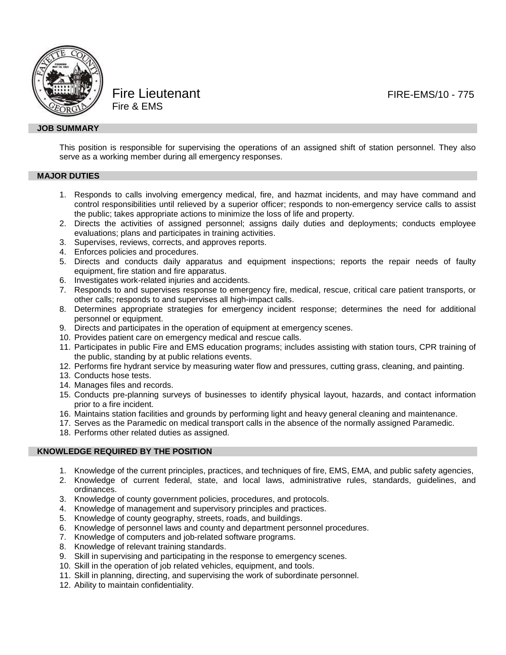

Fire Lieutenant **FIRE-EMS/10** - 775 Fire & EMS

## **JOB SUMMARY**

This position is responsible for supervising the operations of an assigned shift of station personnel. They also serve as a working member during all emergency responses.

## **MAJOR DUTIES**

- 1. Responds to calls involving emergency medical, fire, and hazmat incidents, and may have command and control responsibilities until relieved by a superior officer; responds to non-emergency service calls to assist the public; takes appropriate actions to minimize the loss of life and property.
- 2. Directs the activities of assigned personnel; assigns daily duties and deployments; conducts employee evaluations; plans and participates in training activities.
- 3. Supervises, reviews, corrects, and approves reports.
- 4. Enforces policies and procedures.
- 5. Directs and conducts daily apparatus and equipment inspections; reports the repair needs of faulty equipment, fire station and fire apparatus.
- 6. Investigates work-related injuries and accidents.
- 7. Responds to and supervises response to emergency fire, medical, rescue, critical care patient transports, or other calls; responds to and supervises all high-impact calls.
- 8. Determines appropriate strategies for emergency incident response; determines the need for additional personnel or equipment.
- 9. Directs and participates in the operation of equipment at emergency scenes.
- 10. Provides patient care on emergency medical and rescue calls.
- 11. Participates in public Fire and EMS education programs; includes assisting with station tours, CPR training of the public, standing by at public relations events.
- 12. Performs fire hydrant service by measuring water flow and pressures, cutting grass, cleaning, and painting.
- 13. Conducts hose tests.
- 14. Manages files and records.
- 15. Conducts pre-planning surveys of businesses to identify physical layout, hazards, and contact information prior to a fire incident.
- 16. Maintains station facilities and grounds by performing light and heavy general cleaning and maintenance.
- 17. Serves as the Paramedic on medical transport calls in the absence of the normally assigned Paramedic.
- 18. Performs other related duties as assigned.

### **KNOWLEDGE REQUIRED BY THE POSITION**

- 1. Knowledge of the current principles, practices, and techniques of fire, EMS, EMA, and public safety agencies,
- 2. Knowledge of current federal, state, and local laws, administrative rules, standards, guidelines, and ordinances.
- 3. Knowledge of county government policies, procedures, and protocols.
- 4. Knowledge of management and supervisory principles and practices.
- 5. Knowledge of county geography, streets, roads, and buildings.
- 6. Knowledge of personnel laws and county and department personnel procedures.
- 7. Knowledge of computers and job-related software programs.
- 8. Knowledge of relevant training standards.
- 9. Skill in supervising and participating in the response to emergency scenes.
- 10. Skill in the operation of job related vehicles, equipment, and tools.
- 11. Skill in planning, directing, and supervising the work of subordinate personnel.
- 12. Ability to maintain confidentiality.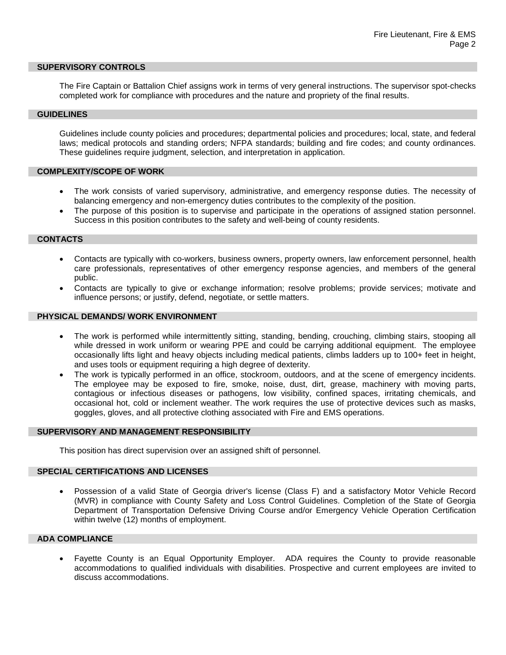#### **SUPERVISORY CONTROLS**

The Fire Captain or Battalion Chief assigns work in terms of very general instructions. The supervisor spot-checks completed work for compliance with procedures and the nature and propriety of the final results.

## **GUIDELINES**

Guidelines include county policies and procedures; departmental policies and procedures; local, state, and federal laws; medical protocols and standing orders; NFPA standards; building and fire codes; and county ordinances. These guidelines require judgment, selection, and interpretation in application.

## **COMPLEXITY/SCOPE OF WORK**

- The work consists of varied supervisory, administrative, and emergency response duties. The necessity of balancing emergency and non-emergency duties contributes to the complexity of the position.
- The purpose of this position is to supervise and participate in the operations of assigned station personnel. Success in this position contributes to the safety and well-being of county residents.

#### **CONTACTS**

- Contacts are typically with co-workers, business owners, property owners, law enforcement personnel, health care professionals, representatives of other emergency response agencies, and members of the general public.
- Contacts are typically to give or exchange information; resolve problems; provide services; motivate and influence persons; or justify, defend, negotiate, or settle matters.

#### **PHYSICAL DEMANDS/ WORK ENVIRONMENT**

- The work is performed while intermittently sitting, standing, bending, crouching, climbing stairs, stooping all while dressed in work uniform or wearing PPE and could be carrying additional equipment. The employee occasionally lifts light and heavy objects including medical patients, climbs ladders up to 100+ feet in height, and uses tools or equipment requiring a high degree of dexterity.
- The work is typically performed in an office, stockroom, outdoors, and at the scene of emergency incidents. The employee may be exposed to fire, smoke, noise, dust, dirt, grease, machinery with moving parts, contagious or infectious diseases or pathogens, low visibility, confined spaces, irritating chemicals, and occasional hot, cold or inclement weather. The work requires the use of protective devices such as masks, goggles, gloves, and all protective clothing associated with Fire and EMS operations.

### **SUPERVISORY AND MANAGEMENT RESPONSIBILITY**

This position has direct supervision over an assigned shift of personnel.

### **SPECIAL CERTIFICATIONS AND LICENSES**

• Possession of a valid State of Georgia driver's license (Class F) and a satisfactory Motor Vehicle Record (MVR) in compliance with County Safety and Loss Control Guidelines. Completion of the State of Georgia Department of Transportation Defensive Driving Course and/or Emergency Vehicle Operation Certification within twelve (12) months of employment.

# **ADA COMPLIANCE**

• Fayette County is an Equal Opportunity Employer. ADA requires the County to provide reasonable accommodations to qualified individuals with disabilities. Prospective and current employees are invited to discuss accommodations.